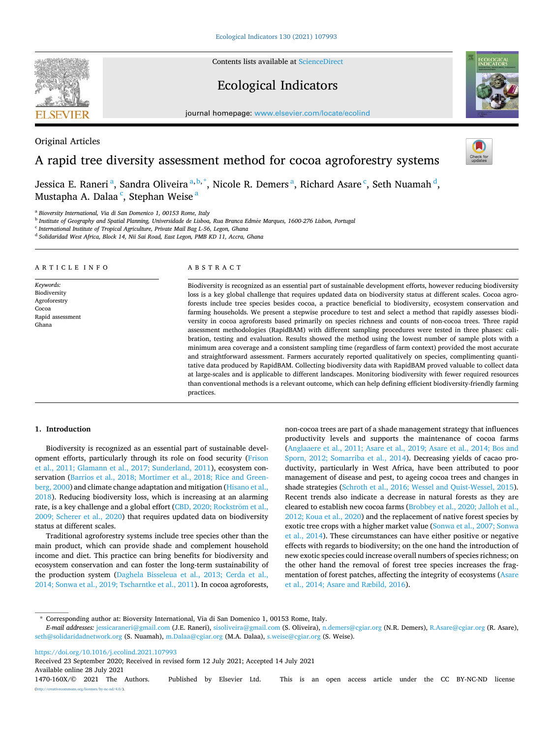Contents lists available at [ScienceDirect](www.sciencedirect.com/science/journal/1470160X)

# Ecological Indicators

journal homepage: [www.elsevier.com/locate/ecolind](https://www.elsevier.com/locate/ecolind)



# A rapid tree diversity assessment method for cocoa agroforestry systems

Jessica E. Raneri<sup>a</sup>, Sandra Oliveira<sup>a, b,\*</sup>, Nicole R. Demers<sup>a</sup>, Richard Asare<sup>c</sup>, Seth Nuamah<sup>d</sup>, Mustapha A. Dalaa<sup>c</sup>, Stephan Weise <sup>a</sup>

<sup>a</sup> *Bioversity International, Via di San Domenico 1, 00153 Rome, Italy* 

<sup>b</sup> *Institute of Geography and Spatial Planning, Universidade de Lisboa, Rua Branca Edm*´*ee Marques, 1600-276 Lisbon, Portugal* 

<sup>c</sup> *International Institute of Tropical Agriculture, Private Mail Bag L-56, Legon, Ghana* 

<sup>d</sup> *Solidaridad West Africa, Block 14, Nii Sai Road, East Legon, PMB KD 11, Accra, Ghana* 

# A R T I C L E I N F O

*Keywords:*  Biodiversity Agroforestry Cocoa Rapid assessment Ghana

#### ABSTRACT

Biodiversity is recognized as an essential part of sustainable development efforts, however reducing biodiversity loss is a key global challenge that requires updated data on biodiversity status at different scales. Cocoa agroforests include tree species besides cocoa, a practice beneficial to biodiversity, ecosystem conservation and farming households. We present a stepwise procedure to test and select a method that rapidly assesses biodiversity in cocoa agroforests based primarily on species richness and counts of non-cocoa trees. Three rapid assessment methodologies (RapidBAM) with different sampling procedures were tested in three phases: calibration, testing and evaluation. Results showed the method using the lowest number of sample plots with a minimum area coverage and a consistent sampling time (regardless of farm context) provided the most accurate and straightforward assessment. Farmers accurately reported qualitatively on species, complimenting quantitative data produced by RapidBAM. Collecting biodiversity data with RapidBAM proved valuable to collect data at large-scales and is applicable to different landscapes. Monitoring biodiversity with fewer required resources than conventional methods is a relevant outcome, which can help defining efficient biodiversity-friendly farming practices.

### **1. Introduction**

Biodiversity is recognized as an essential part of sustainable development efforts, particularly through its role on food security ([Frison](#page-9-0)  [et al., 2011; Glamann et al., 2017; Sunderland, 2011\)](#page-9-0), ecosystem conservation ([Barrios et al., 2018; Mortimer et al., 2018; Rice and Green](#page-9-0)[berg, 2000](#page-9-0)) and climate change adaptation and mitigation ([Hisano et al.,](#page-9-0)  [2018\)](#page-9-0). Reducing biodiversity loss, which is increasing at an alarming rate, is a key challenge and a global effort (CBD, 2020; Rockström et al., [2009; Scherer et al., 2020](#page-9-0)) that requires updated data on biodiversity status at different scales.

Traditional agroforestry systems include tree species other than the main product, which can provide shade and complement household income and diet. This practice can bring benefits for biodiversity and ecosystem conservation and can foster the long-term sustainability of the production system ([Daghela Bisseleua et al., 2013; Cerda et al.,](#page-9-0)  [2014; Sonwa et al., 2019; Tscharntke et al., 2011](#page-9-0)). In cocoa agroforests,

non-cocoa trees are part of a shade management strategy that influences productivity levels and supports the maintenance of cocoa farms ([Anglaaere et al., 2011; Asare et al., 2019; Asare et al., 2014; Bos and](#page-8-0)  [Sporn, 2012; Somarriba et al., 2014\)](#page-8-0). Decreasing yields of cacao productivity, particularly in West Africa, have been attributed to poor management of disease and pest, to ageing cocoa trees and changes in shade strategies [\(Schroth et al., 2016; Wessel and Quist-Wessel, 2015](#page-10-0)). Recent trends also indicate a decrease in natural forests as they are cleared to establish new cocoa farms ([Brobbey et al., 2020; Jalloh et al.,](#page-9-0)  [2012; Koua et al., 2020\)](#page-9-0) and the replacement of native forest species by exotic tree crops with a higher market value ([Sonwa et al., 2007; Sonwa](#page-10-0)  [et al., 2014](#page-10-0)). These circumstances can have either positive or negative effects with regards to biodiversity; on the one hand the introduction of new exotic species could increase overall numbers of species richness; on the other hand the removal of forest tree species increases the fragmentation of forest patches, affecting the integrity of ecosystems [\(Asare](#page-9-0)  [et al., 2014; Asare and Ræbild, 2016](#page-9-0)).

<https://doi.org/10.1016/j.ecolind.2021.107993>

Available online 28 July 2021 Received 23 September 2020; Received in revised form 12 July 2021; Accepted 14 July 2021



Original Articles

<sup>\*</sup> Corresponding author at: Bioversity International, Via di San Domenico 1, 00153 Rome, Italy.

*E-mail addresses:* [jessicaraneri@gmail.com](mailto:jessicaraneri@gmail.com) (J.E. Raneri), [sisoliveira@gmail.com](mailto:sisoliveira@gmail.com) (S. Oliveira), [n.demers@cgiar.org](mailto:n.demers@cgiar.org) (N.R. Demers), [R.Asare@cgiar.org](mailto:R.Asare@cgiar.org) (R. Asare), [seth@solidaridadnetwork.org](mailto:seth@solidaridadnetwork.org) (S. Nuamah), [m.Dalaa@cgiar.org](mailto:m.Dalaa@cgiar.org) (M.A. Dalaa), [s.weise@cgiar.org](mailto:s.weise@cgiar.org) (S. Weise).

<sup>1470-160</sup>X/© 2021 The Authors. Published by Elsevier Ltd. This is an open access article under the CC BY-NC-ND license [\(http://creativecommons.org/licenses/by-nc-nd/4.0/\)](http://creativecommons.org/licenses/by-nc-nd/4.0/).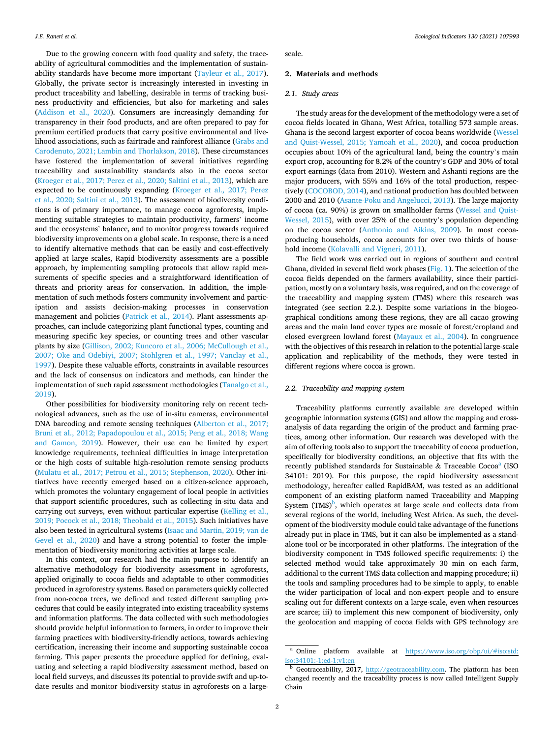Due to the growing concern with food quality and safety, the traceability of agricultural commodities and the implementation of sustainability standards have become more important [\(Tayleur et al., 2017](#page-10-0)). Globally, the private sector is increasingly interested in investing in product traceability and labelling, desirable in terms of tracking business productivity and efficiencies, but also for marketing and sales ([Addison et al., 2020\)](#page-8-0). Consumers are increasingly demanding for transparency in their food products, and are often prepared to pay for premium certified products that carry positive environmental and livelihood associations, such as fairtrade and rainforest alliance [\(Grabs and](#page-9-0)  [Carodenuto, 2021; Lambin and Thorlakson, 2018\)](#page-9-0). These circumstances have fostered the implementation of several initiatives regarding traceability and sustainability standards also in the cocoa sector ([Kroeger et al., 2017; Perez et al., 2020; Saltini et al., 2013](#page-9-0)), which are expected to be continuously expanding ([Kroeger et al., 2017; Perez](#page-9-0)  [et al., 2020; Saltini et al., 2013](#page-9-0)). The assessment of biodiversity conditions is of primary importance, to manage cocoa agroforests, implementing suitable strategies to maintain productivity, farmers' income and the ecosystems' balance, and to monitor progress towards required biodiversity improvements on a global scale. In response, there is a need to identify alternative methods that can be easily and cost-effectively applied at large scales, Rapid biodiversity assessments are a possible approach, by implementing sampling protocols that allow rapid measurements of specific species and a straightforward identification of threats and priority areas for conservation. In addition, the implementation of such methods fosters community involvement and participation and assists decision-making processes in conservation management and policies ([Patrick et al., 2014\)](#page-10-0). Plant assessments approaches, can include categorizing plant functional types, counting and measuring specific key species, or counting trees and other vascular plants by size [\(Gillison, 2002; Kuncoro et al., 2006; McCullough et al.,](#page-9-0)  [2007; Oke and Odebiyi, 2007; Stohlgren et al., 1997; Vanclay et al.,](#page-9-0)  [1997\)](#page-9-0). Despite these valuable efforts, constraints in available resources and the lack of consensus on indicators and methods, can hinder the implementation of such rapid assessment methodologies [\(Tanalgo et al.,](#page-10-0)  [2019\)](#page-10-0).

Other possibilities for biodiversity monitoring rely on recent technological advances, such as the use of in-situ cameras, environmental DNA barcoding and remote sensing techniques ([Alberton et al., 2017;](#page-8-0)  [Bruni et al., 2012; Papadopoulou et al., 2015; Peng et al., 2018; Wang](#page-8-0)  [and Gamon, 2019\)](#page-8-0). However, their use can be limited by expert knowledge requirements, technical difficulties in image interpretation or the high costs of suitable high-resolution remote sensing products ([Mulatu et al., 2017; Petrou et al., 2015; Stephenson, 2020\)](#page-10-0). Other initiatives have recently emerged based on a citizen-science approach, which promotes the voluntary engagement of local people in activities that support scientific procedures, such as collecting in-situ data and carrying out surveys, even without particular expertise (Kelling et al., [2019; Pocock et al., 2018; Theobald et al., 2015\)](#page-9-0). Such initiatives have also been tested in agricultural systems [\(Isaac and Martin, 2019; van de](#page-9-0)  [Gevel et al., 2020](#page-9-0)) and have a strong potential to foster the implementation of biodiversity monitoring activities at large scale.

In this context, our research had the main purpose to identify an alternative methodology for biodiversity assessment in agroforests, applied originally to cocoa fields and adaptable to other commodities produced in agroforestry systems. Based on parameters quickly collected from non-cocoa trees, we defined and tested different sampling procedures that could be easily integrated into existing traceability systems and information platforms. The data collected with such methodologies should provide helpful information to farmers, in order to improve their farming practices with biodiversity-friendly actions, towards achieving certification, increasing their income and supporting sustainable cocoa farming. This paper presents the procedure applied for defining, evaluating and selecting a rapid biodiversity assessment method, based on local field surveys, and discusses its potential to provide swift and up-todate results and monitor biodiversity status in agroforests on a largescale.

#### **2. Materials and methods**

#### *2.1. Study areas*

The study areas for the development of the methodology were a set of cocoa fields located in Ghana, West Africa, totalling 573 sample areas. Ghana is the second largest exporter of cocoa beans worldwide ([Wessel](#page-10-0)  [and Quist-Wessel, 2015; Yamoah et al., 2020\)](#page-10-0), and cocoa production occupies about 10% of the agricultural land, being the country's main export crop, accounting for 8.2% of the country's GDP and 30% of total export earnings (data from 2010). Western and Ashanti regions are the major producers, with 55% and 16% of the total production, respectively [\(COCOBOD, 2014](#page-9-0)), and national production has doubled between 2000 and 2010 ([Asante-Poku and Angelucci, 2013\)](#page-8-0). The large majority of cocoa (ca. 90%) is grown on smallholder farms [\(Wessel and Quist-](#page-10-0)[Wessel, 2015\)](#page-10-0), with over 25% of the country's population depending on the cocoa sector [\(Anthonio and Aikins, 2009\)](#page-8-0). In most cocoaproducing households, cocoa accounts for over two thirds of household income ([Kolavalli and Vigneri, 2011](#page-9-0)).

The field work was carried out in regions of southern and central Ghana, divided in several field work phases ([Fig. 1](#page-2-0)). The selection of the cocoa fields depended on the farmers availability, since their participation, mostly on a voluntary basis, was required, and on the coverage of the traceability and mapping system (TMS) where this research was integrated (see section 2.2.). Despite some variations in the biogeographical conditions among these regions, they are all cacao growing areas and the main land cover types are mosaic of forest/cropland and closed evergreen lowland forest ([Mayaux et al., 2004\)](#page-9-0). In congruence with the objectives of this research in relation to the potential large-scale application and replicability of the methods, they were tested in different regions where cocoa is grown.

# *2.2. Traceability and mapping system*

Traceability platforms currently available are developed within geographic information systems (GIS) and allow the mapping and crossanalysis of data regarding the origin of the product and farming practices, among other information. Our research was developed with the aim of offering tools also to support the traceability of cocoa production, specifically for biodiversity conditions, an objective that fits with the recently published standards for Sustainable  $&$  Traceable Cocoa<sup>a</sup> (ISO 34101: 2019). For this purpose, the rapid biodiversity assessment methodology, hereafter called RapidBAM, was tested as an additional component of an existing platform named Traceability and Mapping System  $(TMS)^b$ , which operates at large scale and collects data from several regions of the world, including West Africa. As such, the development of the biodiversity module could take advantage of the functions already put in place in TMS, but it can also be implemented as a standalone tool or be incorporated in other platforms. The integration of the biodiversity component in TMS followed specific requirements: i) the selected method would take approximately 30 min on each farm, additional to the current TMS data collection and mapping procedure; ii) the tools and sampling procedures had to be simple to apply, to enable the wider participation of local and non-expert people and to ensure scaling out for different contexts on a large-scale, even when resources are scarce; iii) to implement this new component of biodiversity, only the geolocation and mapping of cocoa fields with GPS technology are

a Online platform available at https://www.iso.org/obp/ui/#iso:std: [iso:34101:-1:ed-1:v1:en](https://www.iso.org/obp/ui/%23iso%3astd%3aiso%3a34101%3a-1%3aed-1%3av1%3aen)

 $b$  Geotraceability, 2017, <http://geotraceability.com>. The platform has been changed recently and the traceability process is now called Intelligent Supply Chain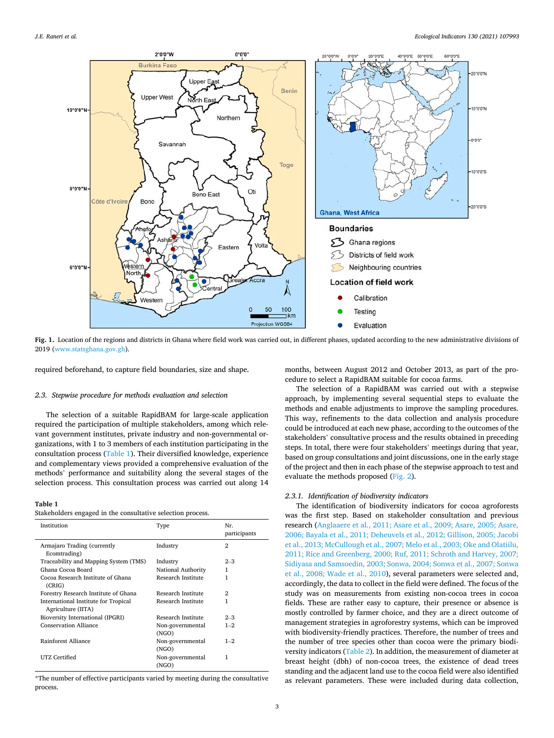<span id="page-2-0"></span>

**Fig. 1.** Location of the regions and districts in Ghana where field work was carried out, in different phases, updated according to the new administrative divisions of 2019 ([www.statsghana.gov.gh\)](http://www.statsghana.gov.gh).

required beforehand, to capture field boundaries, size and shape.

#### *2.3. Stepwise procedure for methods evaluation and selection*

The selection of a suitable RapidBAM for large-scale application required the participation of multiple stakeholders, among which relevant government institutes, private industry and non-governmental organizations, with 1 to 3 members of each institution participating in the consultation process (Table 1). Their diversified knowledge, experience and complementary views provided a comprehensive evaluation of the methods' performance and suitability along the several stages of the selection process. This consultation process was carried out along 14

#### **Table 1**

Stakeholders engaged in the consultative selection process.

| Institution                                                | Type                      | Nr.<br>participants |
|------------------------------------------------------------|---------------------------|---------------------|
| Armajaro Trading (currently<br>Ecomtrading)                | Industry                  | $\mathfrak{D}$      |
| Traceability and Mapping System (TMS)                      | Industry                  | $2 - 3$             |
| Ghana Cocoa Board                                          | National Authority        | 1                   |
| Cocoa Research Institute of Ghana<br>(CRIG)                | Research Institute        | 1                   |
| Forestry Research Institute of Ghana                       | Research Institute        | 2                   |
| International Institute for Tropical<br>Agriculture (IITA) | Research Institute        |                     |
| Bioversity International (IPGRI)                           | Research Institute        | $2 - 3$             |
| <b>Conservation Alliance</b>                               | Non-governmental<br>(NGO) | $1 - 2$             |
| Rainforest Alliance                                        | Non-governmental<br>(NGO) | $1 - 2$             |
| UTZ Certified                                              | Non-governmental<br>(NGO) | 1                   |

\*The number of effective participants varied by meeting during the consultative process.

months, between August 2012 and October 2013, as part of the procedure to select a RapidBAM suitable for cocoa farms.

The selection of a RapidBAM was carried out with a stepwise approach, by implementing several sequential steps to evaluate the methods and enable adjustments to improve the sampling procedures. This way, refinements to the data collection and analysis procedure could be introduced at each new phase, according to the outcomes of the stakeholders' consultative process and the results obtained in preceding steps. In total, there were four stakeholders' meetings during that year, based on group consultations and joint discussions, one in the early stage of the project and then in each phase of the stepwise approach to test and evaluate the methods proposed [\(Fig. 2](#page-3-0)).

# *2.3.1. Identification of biodiversity indicators*

The identification of biodiversity indicators for cocoa agroforests was the first step. Based on stakeholder consultation and previous research [\(Anglaaere et al., 2011; Asare et al., 2009; Asare, 2005; Asare,](#page-8-0)  [2006; Bayala et al., 2011; Deheuvels et al., 2012; Gillison, 2005; Jacobi](#page-8-0)  [et al., 2013; McCullough et al., 2007; Melo et al., 2003; Oke and Olatiilu,](#page-8-0)  [2011; Rice and Greenberg, 2000; Ruf, 2011; Schroth and Harvey, 2007;](#page-8-0)  [Sidiyasa and Samsoedin, 2003; Sonwa, 2004; Sonwa et al., 2007; Sonwa](#page-8-0)  [et al., 2008; Wade et al., 2010\)](#page-8-0), several parameters were selected and, accordingly, the data to collect in the field were defined. The focus of the study was on measurements from existing non-cocoa trees in cocoa fields. These are rather easy to capture, their presence or absence is mostly controlled by farmer choice, and they are a direct outcome of management strategies in agroforestry systems, which can be improved with biodiversity-friendly practices. Therefore, the number of trees and the number of tree species other than cocoa were the primary biodiversity indicators ([Table 2\)](#page-4-0). In addition, the measurement of diameter at breast height (dbh) of non-cocoa trees, the existence of dead trees standing and the adjacent land use to the cocoa field were also identified as relevant parameters. These were included during data collection,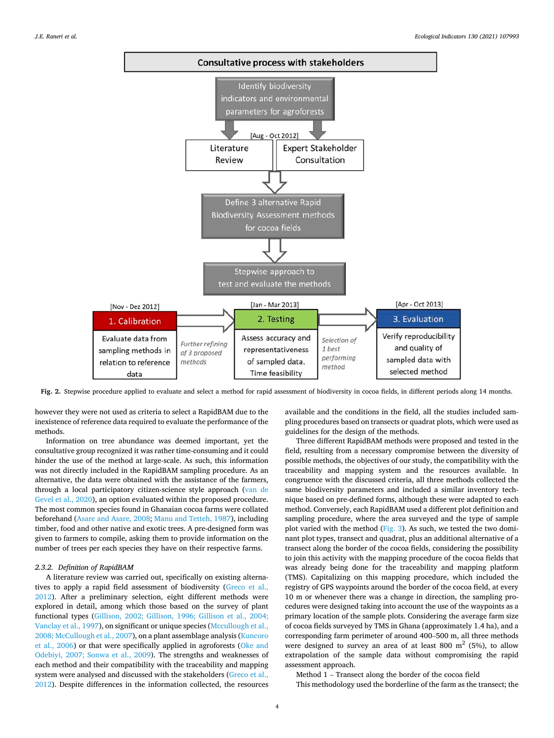<span id="page-3-0"></span>

**Fig. 2.** Stepwise procedure applied to evaluate and select a method for rapid assessment of biodiversity in cocoa fields, in different periods along 14 months.

however they were not used as criteria to select a RapidBAM due to the inexistence of reference data required to evaluate the performance of the methods.

Information on tree abundance was deemed important, yet the consultative group recognized it was rather time-consuming and it could hinder the use of the method at large-scale. As such, this information was not directly included in the RapidBAM sampling procedure. As an alternative, the data were obtained with the assistance of the farmers, through a local participatory citizen-science style approach ([van de](#page-10-0)  [Gevel et al., 2020](#page-10-0)), an option evaluated within the proposed procedure. The most common species found in Ghanaian cocoa farms were collated beforehand ([Asare and Asare, 2008; Manu and Tetteh, 1987](#page-9-0)), including timber, food and other native and exotic trees. A pre-designed form was given to farmers to compile, asking them to provide information on the number of trees per each species they have on their respective farms.

#### *2.3.2. Definition of RapidBAM*

A literature review was carried out, specifically on existing alternatives to apply a rapid field assessment of biodiversity [\(Greco et al.,](#page-9-0)  [2012\)](#page-9-0). After a preliminary selection, eight different methods were explored in detail, among which those based on the survey of plant functional types [\(Gillison, 2002; Gillison, 1996; Gillison et al., 2004;](#page-9-0)  [Vanclay et al., 1997](#page-9-0)), on significant or unique species ([Mccullough et al.,](#page-9-0)  [2008; McCullough et al., 2007](#page-9-0)), on a plant assemblage analysis [\(Kuncoro](#page-9-0)  [et al., 2006](#page-9-0)) or that were specifically applied in agroforests ([Oke and](#page-10-0)  [Odebiyi, 2007; Sonwa et al., 2009](#page-10-0)). The strengths and weaknesses of each method and their compatibility with the traceability and mapping system were analysed and discussed with the stakeholders [\(Greco et al.,](#page-9-0)  [2012\)](#page-9-0). Despite differences in the information collected, the resources available and the conditions in the field, all the studies included sampling procedures based on transects or quadrat plots, which were used as guidelines for the design of the methods.

Three different RapidBAM methods were proposed and tested in the field, resulting from a necessary compromise between the diversity of possible methods, the objectives of our study, the compatibility with the traceability and mapping system and the resources available. In congruence with the discussed criteria, all three methods collected the same biodiversity parameters and included a similar inventory technique based on pre-defined forms, although these were adapted to each method. Conversely, each RapidBAM used a different plot definition and sampling procedure, where the area surveyed and the type of sample plot varied with the method [\(Fig. 3](#page-5-0)). As such, we tested the two dominant plot types, transect and quadrat, plus an additional alternative of a transect along the border of the cocoa fields, considering the possibility to join this activity with the mapping procedure of the cocoa fields that was already being done for the traceability and mapping platform (TMS). Capitalizing on this mapping procedure, which included the registry of GPS waypoints around the border of the cocoa field, at every 10 m or whenever there was a change in direction, the sampling procedures were designed taking into account the use of the waypoints as a primary location of the sample plots. Considering the average farm size of cocoa fields surveyed by TMS in Ghana (approximately 1.4 ha), and a corresponding farm perimeter of around 400–500 m, all three methods were designed to survey an area of at least 800  $m<sup>2</sup>$  (5%), to allow extrapolation of the sample data without compromising the rapid assessment approach.

Method 1 – Transect along the border of the cocoa field This methodology used the borderline of the farm as the transect; the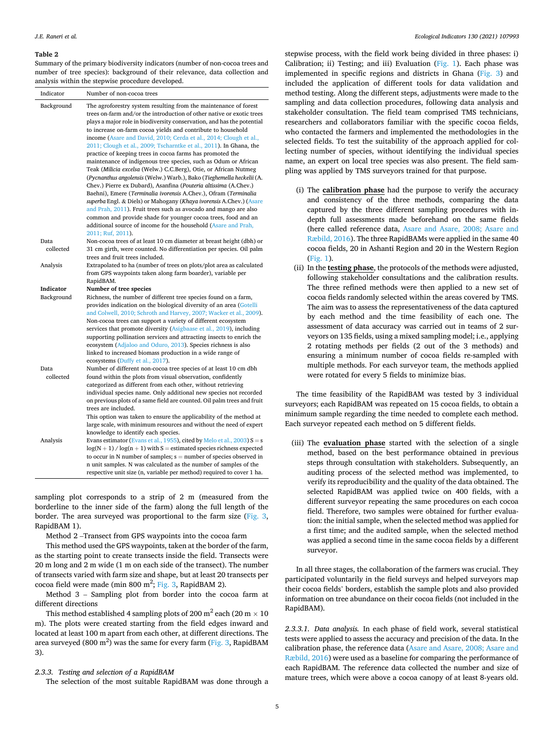#### <span id="page-4-0"></span>**Table 2**

Summary of the primary biodiversity indicators (number of non-cocoa trees and number of tree species): background of their relevance, data collection and analysis within the stepwise procedure developed.

| Indicator         | Number of non-cocoa trees                                                                                                                                                                                                                                                                                                                                                                                                                                                                                                                                                                     |
|-------------------|-----------------------------------------------------------------------------------------------------------------------------------------------------------------------------------------------------------------------------------------------------------------------------------------------------------------------------------------------------------------------------------------------------------------------------------------------------------------------------------------------------------------------------------------------------------------------------------------------|
| Background        | The agroforestry system resulting from the maintenance of forest<br>trees on-farm and/or the introduction of other native or exotic trees<br>plays a major role in biodiversity conservation, and has the potential<br>to increase on-farm cocoa yields and contribute to household<br>income (Asare and David, 2010; Cerda et al., 2014; Clough et al.,                                                                                                                                                                                                                                      |
|                   | 2011; Clough et al., 2009; Tscharntke et al., 2011). In Ghana, the<br>practice of keeping trees in cocoa farms has promoted the                                                                                                                                                                                                                                                                                                                                                                                                                                                               |
|                   | maintenance of indigenous tree species, such as Odum or African<br>Teak (Milicia excelsa (Welw.) C.C.Berg), Otie, or African Nutmeg<br>(Pycnanthus angolensis (Welw.) Warb.), Bako (Tieghemella heckelii (A.<br>Chev.) Pierre ex Dubard), Asanfina (Pouteria altissima (A.Chev.)                                                                                                                                                                                                                                                                                                              |
|                   | Baehni), Emere (Terminalia ivorensis A.Chev.), Ofram (Terminalia<br>superba Engl. & Diels) or Mahogany (Khaya ivorensis A.Chev.) (Asare<br>and Prah, 2011). Fruit trees such as avocado and mango are also<br>common and provide shade for younger cocoa trees, food and an                                                                                                                                                                                                                                                                                                                   |
|                   | additional source of income for the household (Asare and Prah,<br>2011; Ruf, 2011).                                                                                                                                                                                                                                                                                                                                                                                                                                                                                                           |
| Data<br>collected | Non-cocoa trees of at least 10 cm diameter at breast height (dbh) or<br>31 cm girth, were counted. No differentiation per species. Oil palm                                                                                                                                                                                                                                                                                                                                                                                                                                                   |
| Analysis          | trees and fruit trees included.<br>Extrapolated to ha (number of trees on plots/plot area as calculated<br>from GPS waypoints taken along farm boarder), variable per<br>RapidBAM.                                                                                                                                                                                                                                                                                                                                                                                                            |
| Indicator         | Number of tree species                                                                                                                                                                                                                                                                                                                                                                                                                                                                                                                                                                        |
| Background        | Richness, the number of different tree species found on a farm,<br>provides indication on the biological diversity of an area (Gotelli<br>and Colwell, 2010; Schroth and Harvey, 2007; Wacker et al., 2009).<br>Non-cocoa trees can support a variety of different ecosystem<br>services that promote diversity (Asigbaase et al., 2019), including<br>supporting pollination services and attracting insects to enrich the<br>ecosystem (Adjaloo and Oduro, 2013). Species richness is also<br>linked to increased biomass production in a wide range of<br>ecosystems (Duffy et al., 2017). |
| Data<br>collected | Number of different non-cocoa tree species of at least 10 cm dbh<br>found within the plots from visual observation, confidently<br>categorized as different from each other, without retrieving<br>individual species name. Only additional new species not recorded<br>on previous plots of a same field are counted. Oil palm trees and fruit<br>trees are included.                                                                                                                                                                                                                        |
| Analysis          | This option was taken to ensure the applicability of the method at<br>large scale, with minimum resources and without the need of expert<br>knowledge to identify each species.<br>Evans estimator (Evans et al., 1955), cited by Melo et al., 2003) $S = s$<br>$log(N + 1)$ / $log(n + 1)$ with S = estimated species richness expected<br>to occur in N number of samples; $s =$ number of species observed in<br>n unit samples. N was calculated as the number of samples of the                                                                                                          |
|                   | respective unit size (n, variable per method) required to cover 1 ha.                                                                                                                                                                                                                                                                                                                                                                                                                                                                                                                         |

sampling plot corresponds to a strip of 2 m (measured from the borderline to the inner side of the farm) along the full length of the border. The area surveyed was proportional to the farm size [\(Fig. 3](#page-5-0), RapidBAM 1).

Method 2 –Transect from GPS waypoints into the cocoa farm

This method used the GPS waypoints, taken at the border of the farm, as the starting point to create transects inside the field. Transects were 20 m long and 2 m wide (1 m on each side of the transect). The number of transects varied with farm size and shape, but at least 20 transects per cocoa field were made (min 800 m<sup>2</sup>; [Fig. 3](#page-5-0), RapidBAM 2).

Method 3 – Sampling plot from border into the cocoa farm at different directions

This method established 4 sampling plots of 200 m<sup>2</sup> each (20 m  $\times$  10 m). The plots were created starting from the field edges inward and located at least 100 m apart from each other, at different directions. The area surveyed (800 m<sup>2</sup>) was the same for every farm ([Fig. 3,](#page-5-0) RapidBAM 3).

## *2.3.3. Testing and selection of a RapidBAM*

The selection of the most suitable RapidBAM was done through a

stepwise process, with the field work being divided in three phases: i) Calibration; ii) Testing; and iii) Evaluation ([Fig. 1](#page-2-0)). Each phase was implemented in specific regions and districts in Ghana [\(Fig. 3\)](#page-5-0) and included the application of different tools for data validation and method testing. Along the different steps, adjustments were made to the sampling and data collection procedures, following data analysis and stakeholder consultation. The field team comprised TMS technicians, researchers and collaborators familiar with the specific cocoa fields, who contacted the farmers and implemented the methodologies in the selected fields. To test the suitability of the approach applied for collecting number of species, without identifying the individual species name, an expert on local tree species was also present. The field sampling was applied by TMS surveyors trained for that purpose.

- (i) The **calibration phase** had the purpose to verify the accuracy and consistency of the three methods, comparing the data captured by the three different sampling procedures with indepth full assessments made beforehand on the same fields (here called reference data, [Asare and Asare, 2008; Asare and](#page-9-0)  [Ræbild, 2016\)](#page-9-0). The three RapidBAMs were applied in the same 40 cocoa fields, 20 in Ashanti Region and 20 in the Western Region [\(Fig. 1](#page-2-0)).
- (ii) In the **testing phase**, the protocols of the methods were adjusted, following stakeholder consultations and the calibration results. The three refined methods were then applied to a new set of cocoa fields randomly selected within the areas covered by TMS. The aim was to assess the representativeness of the data captured by each method and the time feasibility of each one. The assessment of data accuracy was carried out in teams of 2 surveyors on 135 fields, using a mixed sampling model; i.e., applying 2 rotating methods per fields (2 out of the 3 methods) and ensuring a minimum number of cocoa fields re-sampled with multiple methods. For each surveyor team, the methods applied were rotated for every 5 fields to minimize bias.

The time feasibility of the RapidBAM was tested by 3 individual surveyors; each RapidBAM was repeated on 15 cocoa fields, to obtain a minimum sample regarding the time needed to complete each method. Each surveyor repeated each method on 5 different fields.

(iii) The **evaluation phase** started with the selection of a single method, based on the best performance obtained in previous steps through consultation with stakeholders. Subsequently, an auditing process of the selected method was implemented, to verify its reproducibility and the quality of the data obtained. The selected RapidBAM was applied twice on 400 fields, with a different surveyor repeating the same procedures on each cocoa field. Therefore, two samples were obtained for further evaluation: the initial sample, when the selected method was applied for a first time; and the audited sample, when the selected method was applied a second time in the same cocoa fields by a different surveyor.

In all three stages, the collaboration of the farmers was crucial. They participated voluntarily in the field surveys and helped surveyors map their cocoa fields' borders, establish the sample plots and also provided information on tree abundance on their cocoa fields (not included in the RapidBAM).

*2.3.3.1. Data analysis.* In each phase of field work, several statistical tests were applied to assess the accuracy and precision of the data. In the calibration phase, the reference data ([Asare and Asare, 2008; Asare and](#page-9-0)  [Ræbild, 2016](#page-9-0)) were used as a baseline for comparing the performance of each RapidBAM. The reference data collected the number and size of mature trees, which were above a cocoa canopy of at least 8-years old.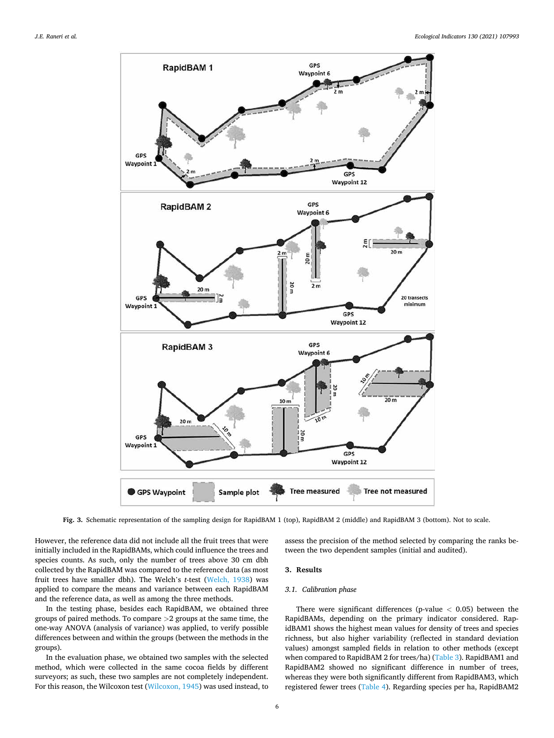<span id="page-5-0"></span>

**Fig. 3.** Schematic representation of the sampling design for RapidBAM 1 (top), RapidBAM 2 (middle) and RapidBAM 3 (bottom). Not to scale.

However, the reference data did not include all the fruit trees that were initially included in the RapidBAMs, which could influence the trees and species counts. As such, only the number of trees above 30 cm dbh collected by the RapidBAM was compared to the reference data (as most fruit trees have smaller dbh). The Welch's *t*-test ([Welch, 1938](#page-10-0)) was applied to compare the means and variance between each RapidBAM and the reference data, as well as among the three methods.

In the testing phase, besides each RapidBAM, we obtained three groups of paired methods. To compare *>*2 groups at the same time, the one-way ANOVA (analysis of variance) was applied, to verify possible differences between and within the groups (between the methods in the groups).

In the evaluation phase, we obtained two samples with the selected method, which were collected in the same cocoa fields by different surveyors; as such, these two samples are not completely independent. For this reason, the Wilcoxon test ([Wilcoxon, 1945\)](#page-10-0) was used instead, to assess the precision of the method selected by comparing the ranks between the two dependent samples (initial and audited).

# **3. Results**

# *3.1. Calibration phase*

There were significant differences (p-value *<* 0.05) between the RapidBAMs, depending on the primary indicator considered. RapidBAM1 shows the highest mean values for density of trees and species richness, but also higher variability (reflected in standard deviation values) amongst sampled fields in relation to other methods (except when compared to RapidBAM 2 for trees/ha) ([Table 3\)](#page-6-0). RapidBAM1 and RapidBAM2 showed no significant difference in number of trees, whereas they were both significantly different from RapidBAM3, which registered fewer trees [\(Table 4\)](#page-6-0). Regarding species per ha, RapidBAM2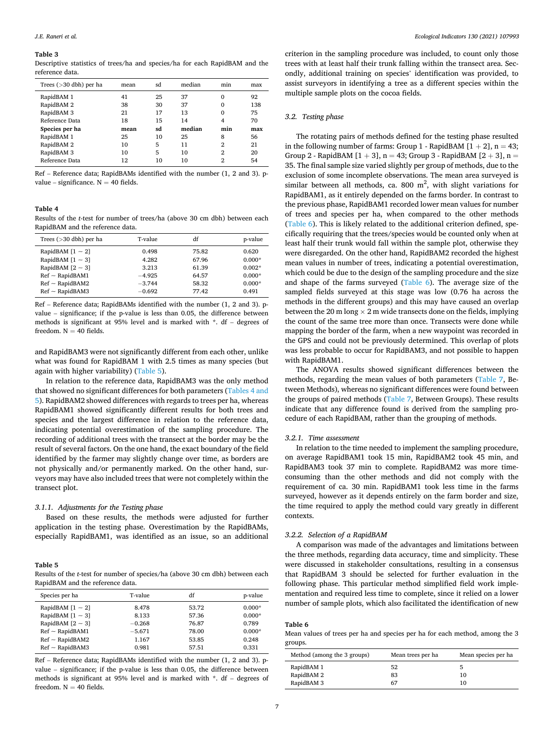#### <span id="page-6-0"></span>**Table 3**

Descriptive statistics of trees/ha and species/ha for each RapidBAM and the reference data.

| Trees $($ >30 dbh) per ha | mean | sd | median | min          | max |
|---------------------------|------|----|--------|--------------|-----|
| RapidBAM 1                | 41   | 25 | 37     | 0            | 92  |
| RapidBAM 2                | 38   | 30 | 37     | 0            | 138 |
| RapidBAM 3                | 21   | 17 | 13     | $\mathbf{0}$ | 75  |
| Reference Data            | 18   | 15 | 14     | 4            | 70  |
| Species per ha            | mean | sd | median | min          | max |
| RapidBAM 1                | 25   | 10 | 25     | 8            | 56  |
| RapidBAM 2                | 10   | 5  | 11     | 2            | 21  |
| RapidBAM 3                | 10   | 5  | 10     | 2            | 20  |
| Reference Data            | 12   | 10 | 10     | 2            | 54  |

Ref – Reference data; RapidBAMs identified with the number (1, 2 and 3). pvalue – significance.  $N = 40$  fields.

# **Table 4**

Results of the *t*-test for number of trees/ha (above 30 cm dbh) between each RapidBAM and the reference data.

| Trees $(>30$ dbh) per ha | T-value  | df    | p-value  |
|--------------------------|----------|-------|----------|
| RapidBAM $[1 \sim 2]$    | 0.498    | 75.82 | 0.620    |
| RapidBAM $[1 \sim 3]$    | 4.282    | 67.96 | $0.000*$ |
| RapidBAM $[2 \sim 3]$    | 3.213    | 61.39 | $0.002*$ |
| $Ref \sim RapidBAM1$     | $-4.925$ | 64.57 | $0.000*$ |
| $Ref \sim RapidBAM2$     | $-3.744$ | 58.32 | $0.000*$ |
| $Ref \sim RapidBAM3$     | $-0.692$ | 77.42 | 0.491    |

Ref – Reference data; RapidBAMs identified with the number (1, 2 and 3). pvalue – significance; if the p-value is less than 0.05, the difference between methods is significant at 95% level and is marked with \*. df – degrees of freedom.  $N = 40$  fields.

and RapidBAM3 were not significantly different from each other, unlike what was found for RapidBAM 1 with 2.5 times as many species (but again with higher variability) (Table 5).

In relation to the reference data, RapidBAM3 was the only method that showed no significant differences for both parameters (Tables 4 and 5). RapidBAM2 showed differences with regards to trees per ha, whereas RapidBAM1 showed significantly different results for both trees and species and the largest difference in relation to the reference data, indicating potential overestimation of the sampling procedure. The recording of additional trees with the transect at the border may be the result of several factors. On the one hand, the exact boundary of the field identified by the farmer may slightly change over time, as borders are not physically and/or permanently marked. On the other hand, surveyors may have also included trees that were not completely within the transect plot.

### *3.1.1. Adjustments for the Testing phase*

Based on these results, the methods were adjusted for further application in the testing phase. Overestimation by the RapidBAMs, especially RapidBAM1, was identified as an issue, so an additional

# **Table 5**

Results of the *t*-test for number of species/ha (above 30 cm dbh) between each RapidBAM and the reference data.

| Species per ha        | T-value  | df    | p-value  |
|-----------------------|----------|-------|----------|
| RapidBAM $[1 \sim 2]$ | 8.478    | 53.72 | $0.000*$ |
| RapidBAM $[1 \sim 3]$ | 8.133    | 57.36 | $0.000*$ |
| RapidBAM $[2 \sim 3]$ | $-0.268$ | 76.87 | 0.789    |
| $Ref \sim RapidBAM1$  | $-5.671$ | 78.00 | $0.000*$ |
| $Ref \sim RapidBAM2$  | 1.167    | 53.85 | 0.248    |
| $Ref \sim RapidBAM3$  | 0.981    | 57.51 | 0.331    |

Ref – Reference data; RapidBAMs identified with the number (1, 2 and 3). pvalue – significance; if the p-value is less than 0.05, the difference between methods is significant at 95% level and is marked with \*. df – degrees of freedom.  $N = 40$  fields.

criterion in the sampling procedure was included, to count only those trees with at least half their trunk falling within the transect area. Secondly, additional training on species' identification was provided, to assist surveyors in identifying a tree as a different species within the multiple sample plots on the cocoa fields.

#### *3.2. Testing phase*

The rotating pairs of methods defined for the testing phase resulted in the following number of farms: Group 1 - RapidBAM  $[1 + 2]$ , n = 43; Group 2 - RapidBAM  $[1 + 3]$ , n = 43; Group 3 - RapidBAM  $[2 + 3]$ , n = 35. The final sample size varied slightly per group of methods, due to the exclusion of some incomplete observations. The mean area surveyed is similar between all methods, ca. 800  $m^2$ , with slight variations for RapidBAM1, as it entirely depended on the farms border. In contrast to the previous phase, RapidBAM1 recorded lower mean values for number of trees and species per ha, when compared to the other methods (Table 6). This is likely related to the additional criterion defined, specifically requiring that the trees/species would be counted only when at least half their trunk would fall within the sample plot, otherwise they were disregarded. On the other hand, RapidBAM2 recorded the highest mean values in number of trees, indicating a potential overestimation, which could be due to the design of the sampling procedure and the size and shape of the farms surveyed (Table 6). The average size of the sampled fields surveyed at this stage was low (0.76 ha across the methods in the different groups) and this may have caused an overlap between the 20 m long  $\times$  2 m wide transects done on the fields, implying the count of the same tree more than once. Transects were done while mapping the border of the farm, when a new waypoint was recorded in the GPS and could not be previously determined. This overlap of plots was less probable to occur for RapidBAM3, and not possible to happen with RapidBAM1.

The ANOVA results showed significant differences between the methods, regarding the mean values of both parameters [\(Table 7](#page-7-0), Between Methods), whereas no significant differences were found between the groups of paired methods ([Table 7](#page-7-0), Between Groups). These results indicate that any difference found is derived from the sampling procedure of each RapidBAM, rather than the grouping of methods.

#### *3.2.1. Time assessment*

In relation to the time needed to implement the sampling procedure, on average RapidBAM1 took 15 min, RapidBAM2 took 45 min, and RapidBAM3 took 37 min to complete. RapidBAM2 was more timeconsuming than the other methods and did not comply with the requirement of ca. 30 min. RapidBAM1 took less time in the farms surveyed, however as it depends entirely on the farm border and size, the time required to apply the method could vary greatly in different contexts.

#### *3.2.2. Selection of a RapidBAM*

A comparison was made of the advantages and limitations between the three methods, regarding data accuracy, time and simplicity. These were discussed in stakeholder consultations, resulting in a consensus that RapidBAM 3 should be selected for further evaluation in the following phase. This particular method simplified field work implementation and required less time to complete, since it relied on a lower number of sample plots, which also facilitated the identification of new

#### **Table 6**

Mean values of trees per ha and species per ha for each method, among the 3 groups.

| Method (among the 3 groups) | Mean trees per ha | Mean species per ha |
|-----------------------------|-------------------|---------------------|
| RapidBAM 1                  | 52                |                     |
| RapidBAM 2                  | 83                | 10                  |
| RapidBAM 3                  | 67                | 10                  |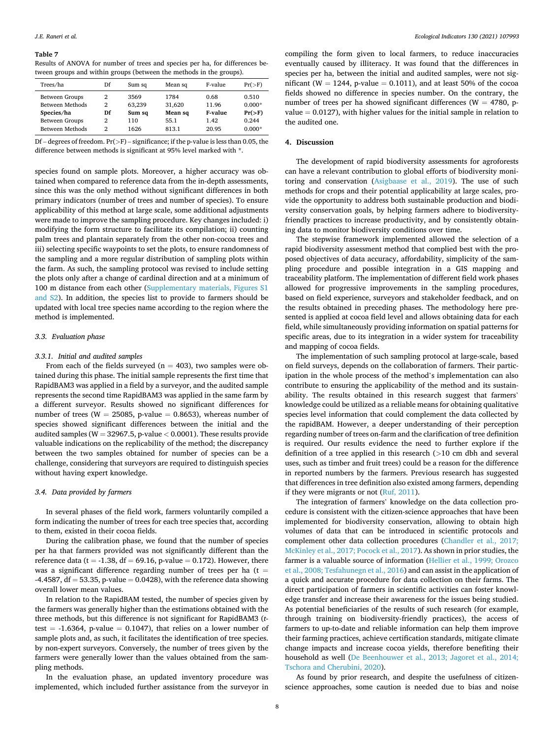#### <span id="page-7-0"></span>**Table 7**

Results of ANOVA for number of trees and species per ha, for differences between groups and within groups (between the methods in the groups).

| Trees/ha        | Df | Sum sq | Mean sq | F-value | $Pr(>=F)$ |
|-----------------|----|--------|---------|---------|-----------|
| Between Groups  | 2  | 3569   | 1784    | 0.68    | 0.510     |
| Between Methods | 2  | 63.239 | 31,620  | 11.96   | $0.000*$  |
| Species/ha      | Df | Sum sq | Mean sq | F-value | $Pr(>=F)$ |
| Between Groups  | 2  | 110    | 55.1    | 1.42    | 0.244     |
| Between Methods | 2  | 1626   | 813.1   | 20.95   | $0.000*$  |

Df – degrees of freedom. Pr(*>*F) – significance; if the p-value is less than 0.05, the difference between methods is significant at 95% level marked with \*.

species found on sample plots. Moreover, a higher accuracy was obtained when compared to reference data from the in-depth assessments, since this was the only method without significant differences in both primary indicators (number of trees and number of species). To ensure applicability of this method at large scale, some additional adjustments were made to improve the sampling procedure. Key changes included: i) modifying the form structure to facilitate its compilation; ii) counting palm trees and plantain separately from the other non-cocoa trees and iii) selecting specific waypoints to set the plots, to ensure randomness of the sampling and a more regular distribution of sampling plots within the farm. As such, the sampling protocol was revised to include setting the plots only after a change of cardinal direction and at a minimum of 100 m distance from each other (Supplementary materials, Figures S1 and S2). In addition, the species list to provide to farmers should be updated with local tree species name according to the region where the method is implemented.

# *3.3. Evaluation phase*

# *3.3.1. Initial and audited samples*

From each of the fields surveyed ( $n = 403$ ), two samples were obtained during this phase. The initial sample represents the first time that RapidBAM3 was applied in a field by a surveyor, and the audited sample represents the second time RapidBAM3 was applied in the same farm by a different surveyor. Results showed no significant differences for number of trees (W = 25085, p-value = 0.8653), whereas number of species showed significant differences between the initial and the audited samples (W = 32967.5, p-value *<* 0.0001). These results provide valuable indications on the replicability of the method; the discrepancy between the two samples obtained for number of species can be a challenge, considering that surveyors are required to distinguish species without having expert knowledge.

### *3.4. Data provided by farmers*

In several phases of the field work, farmers voluntarily compiled a form indicating the number of trees for each tree species that, according to them, existed in their cocoa fields.

During the calibration phase, we found that the number of species per ha that farmers provided was not significantly different than the reference data (t = -1.38, df = 69.16, p-value = 0.172). However, there was a significant difference regarding number of trees per ha ( $t =$ -4.4587,  $df = 53.35$ , p-value = 0.0428), with the reference data showing overall lower mean values.

In relation to the RapidBAM tested, the number of species given by the farmers was generally higher than the estimations obtained with the three methods, but this difference is not significant for RapidBAM3 (*t*test =  $-1.6364$ , p-value = 0.1047), that relies on a lower number of sample plots and, as such, it facilitates the identification of tree species. by non-expert surveyors. Conversely, the number of trees given by the farmers were generally lower than the values obtained from the sampling methods.

In the evaluation phase, an updated inventory procedure was implemented, which included further assistance from the surveyor in compiling the form given to local farmers, to reduce inaccuracies eventually caused by illiteracy. It was found that the differences in species per ha, between the initial and audited samples, were not significant (W = 1244, p-value = 0.1011), and at least 50% of the cocoa fields showed no difference in species number. On the contrary, the number of trees per ha showed significant differences ( $W = 4780$ , pvalue  $= 0.0127$ ), with higher values for the initial sample in relation to the audited one.

# **4. Discussion**

The development of rapid biodiversity assessments for agroforests can have a relevant contribution to global efforts of biodiversity monitoring and conservation ([Asigbaase et al., 2019](#page-9-0)). The use of such methods for crops and their potential applicability at large scales, provide the opportunity to address both sustainable production and biodiversity conservation goals, by helping farmers adhere to biodiversityfriendly practices to increase productivity, and by consistently obtaining data to monitor biodiversity conditions over time.

The stepwise framework implemented allowed the selection of a rapid biodiversity assessment method that complied best with the proposed objectives of data accuracy, affordability, simplicity of the sampling procedure and possible integration in a GIS mapping and traceability platform. The implementation of different field work phases allowed for progressive improvements in the sampling procedures, based on field experience, surveyors and stakeholder feedback, and on the results obtained in preceding phases. The methodology here presented is applied at cocoa field level and allows obtaining data for each field, while simultaneously providing information on spatial patterns for specific areas, due to its integration in a wider system for traceability and mapping of cocoa fields.

The implementation of such sampling protocol at large-scale, based on field surveys, depends on the collaboration of farmers. Their participation in the whole process of the method's implementation can also contribute to ensuring the applicability of the method and its sustainability. The results obtained in this research suggest that farmers' knowledge could be utilized as a reliable means for obtaining qualitative species level information that could complement the data collected by the rapidBAM. However, a deeper understanding of their perception regarding number of trees on-farm and the clarification of tree definition is required. Our results evidence the need to further explore if the definition of a tree applied in this research (*>*10 cm dbh and several uses, such as timber and fruit trees) could be a reason for the difference in reported numbers by the farmers. Previous research has suggested that differences in tree definition also existed among farmers, depending if they were migrants or not ([Ruf, 2011](#page-10-0)).

The integration of farmers' knowledge on the data collection procedure is consistent with the citizen-science approaches that have been implemented for biodiversity conservation, allowing to obtain high volumes of data that can be introduced in scientific protocols and complement other data collection procedures ([Chandler et al., 2017;](#page-9-0)  [McKinley et al., 2017; Pocock et al., 2017](#page-9-0)). As shown in prior studies, the farmer is a valuable source of information [\(Hellier et al., 1999; Orozco](#page-9-0)  [et al., 2008; Tesfahunegn et al., 2016](#page-9-0)) and can assist in the application of a quick and accurate procedure for data collection on their farms. The direct participation of farmers in scientific activities can foster knowledge transfer and increase their awareness for the issues being studied. As potential beneficiaries of the results of such research (for example, through training on biodiversity-friendly practices), the access of farmers to up-to-date and reliable information can help them improve their farming practices, achieve certification standards, mitigate climate change impacts and increase cocoa yields, therefore benefiting their household as well ([De Beenhouwer et al., 2013; Jagoret et al., 2014;](#page-9-0)  [Tschora and Cherubini, 2020\)](#page-9-0).

As found by prior research, and despite the usefulness of citizenscience approaches, some caution is needed due to bias and noise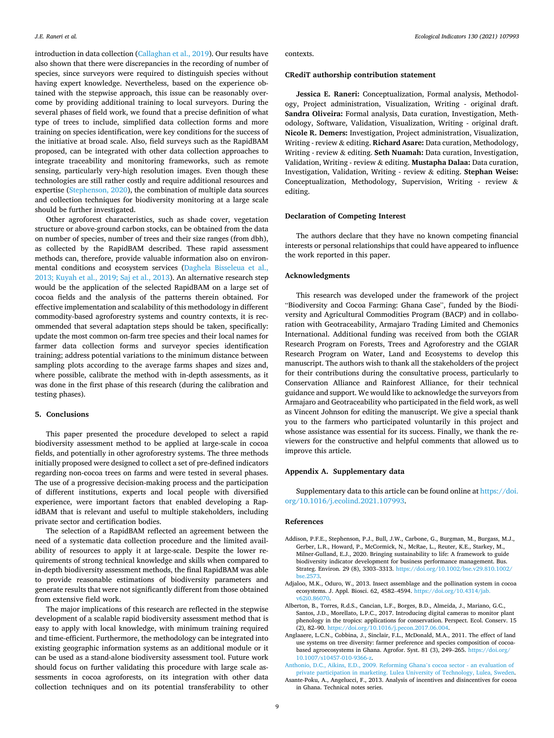<span id="page-8-0"></span>introduction in data collection [\(Callaghan et al., 2019\)](#page-9-0). Our results have also shown that there were discrepancies in the recording of number of species, since surveyors were required to distinguish species without having expert knowledge. Nevertheless, based on the experience obtained with the stepwise approach, this issue can be reasonably overcome by providing additional training to local surveyors. During the several phases of field work, we found that a precise definition of what type of trees to include, simplified data collection forms and more training on species identification, were key conditions for the success of the initiative at broad scale. Also, field surveys such as the RapidBAM proposed, can be integrated with other data collection approaches to integrate traceability and monitoring frameworks, such as remote sensing, particularly very-high resolution images. Even though these technologies are still rather costly and require additional resources and expertise [\(Stephenson, 2020](#page-10-0)), the combination of multiple data sources and collection techniques for biodiversity monitoring at a large scale should be further investigated.

Other agroforest characteristics, such as shade cover, vegetation structure or above-ground carbon stocks, can be obtained from the data on number of species, number of trees and their size ranges (from dbh), as collected by the RapidBAM described. These rapid assessment methods can, therefore, provide valuable information also on environmental conditions and ecosystem services [\(Daghela Bisseleua et al.,](#page-9-0)  [2013; Kuyah et al., 2019; Saj et al., 2013](#page-9-0)). An alternative research step would be the application of the selected RapidBAM on a large set of cocoa fields and the analysis of the patterns therein obtained. For effective implementation and scalability of this methodology in different commodity-based agroforestry systems and country contexts, it is recommended that several adaptation steps should be taken, specifically: update the most common on-farm tree species and their local names for farmer data collection forms and surveyor species identification training; address potential variations to the minimum distance between sampling plots according to the average farms shapes and sizes and, where possible, calibrate the method with in-depth assessments, as it was done in the first phase of this research (during the calibration and testing phases).

#### **5. Conclusions**

This paper presented the procedure developed to select a rapid biodiversity assessment method to be applied at large-scale in cocoa fields, and potentially in other agroforestry systems. The three methods initially proposed were designed to collect a set of pre-defined indicators regarding non-cocoa trees on farms and were tested in several phases. The use of a progressive decision-making process and the participation of different institutions, experts and local people with diversified experience, were important factors that enabled developing a RapidBAM that is relevant and useful to multiple stakeholders, including private sector and certification bodies.

The selection of a RapidBAM reflected an agreement between the need of a systematic data collection procedure and the limited availability of resources to apply it at large-scale. Despite the lower requirements of strong technical knowledge and skills when compared to in-depth biodiversity assessment methods, the final RapidBAM was able to provide reasonable estimations of biodiversity parameters and generate results that were not significantly different from those obtained from extensive field work.

The major implications of this research are reflected in the stepwise development of a scalable rapid biodiversity assessment method that is easy to apply with local knowledge, with minimum training required and time-efficient. Furthermore, the methodology can be integrated into existing geographic information systems as an additional module or it can be used as a stand-alone biodiversity assessment tool. Future work should focus on further validating this procedure with large scale assessments in cocoa agroforests, on its integration with other data collection techniques and on its potential transferability to other

contexts.

#### **CRediT authorship contribution statement**

**Jessica E. Raneri:** Conceptualization, Formal analysis, Methodology, Project administration, Visualization, Writing - original draft. **Sandra Oliveira:** Formal analysis, Data curation, Investigation, Methodology, Software, Validation, Visualization, Writing - original draft. **Nicole R. Demers:** Investigation, Project administration, Visualization, Writing - review & editing. **Richard Asare:** Data curation, Methodology, Writing - review & editing. **Seth Nuamah:** Data curation, Investigation, Validation, Writing - review & editing. **Mustapha Dalaa:** Data curation, Investigation, Validation, Writing - review & editing. **Stephan Weise:**  Conceptualization, Methodology, Supervision, Writing - review & editing.

# **Declaration of Competing Interest**

The authors declare that they have no known competing financial interests or personal relationships that could have appeared to influence the work reported in this paper.

# **Acknowledgments**

This research was developed under the framework of the project "Biodiversity and Cocoa Farming: Ghana Case", funded by the Biodiversity and Agricultural Commodities Program (BACP) and in collaboration with Geotraceability, Armajaro Trading Limited and Chemonics International. Additional funding was received from both the CGIAR Research Program on Forests, Trees and Agroforestry and the CGIAR Research Program on Water, Land and Ecosystems to develop this manuscript. The authors wish to thank all the stakeholders of the project for their contributions during the consultative process, particularly to Conservation Alliance and Rainforest Alliance, for their technical guidance and support. We would like to acknowledge the surveyors from Armajaro and Geotraceability who participated in the field work, as well as Vincent Johnson for editing the manuscript. We give a special thank you to the farmers who participated voluntarily in this project and whose assistance was essential for its success. Finally, we thank the reviewers for the constructive and helpful comments that allowed us to improve this article.

### **Appendix A. Supplementary data**

Supplementary data to this article can be found online at [https://doi.](https://doi.org/10.1016/j.ecolind.2021.107993)  [org/10.1016/j.ecolind.2021.107993.](https://doi.org/10.1016/j.ecolind.2021.107993)

#### **References**

- Addison, P.F.E., Stephenson, P.J., Bull, J.W., Carbone, G., Burgman, M., Burgass, M.J., Gerber, L.R., Howard, P., McCormick, N., McRae, L., Reuter, K.E., Starkey, M., Milner-Gulland, E.J., 2020. Bringing sustainability to life: A framework to guide biodiversity indicator development for business performance management. Bus. Strateg. Environ. 29 (8), 3303–3313. [https://doi.org/10.1002/bse.v29.810.1002/](https://doi.org/10.1002/bse.v29.810.1002/bse.2573) **bse.257**
- Adjaloo, M.K., Oduro, W., 2013. Insect assemblage and the pollination system in cocoa ecosystems. J. Appl. Biosci. 62, 4582–4594. [https://doi.org/10.4314/jab.](https://doi.org/10.4314/jab.v62i0.86070)  [v62i0.86070](https://doi.org/10.4314/jab.v62i0.86070).
- Alberton, B., Torres, R.d.S., Cancian, L.F., Borges, B.D., Almeida, J., Mariano, G.C., Santos, J.D., Morellato, L.P.C., 2017. Introducing digital cameras to monitor plant phenology in the tropics: applications for conservation. Perspect. Ecol. Conserv. 15 (2), 82–90.<https://doi.org/10.1016/j.pecon.2017.06.004>.
- Anglaaere, L.C.N., Cobbina, J., Sinclair, F.L., McDonald, M.A., 2011. The effect of land use systems on tree diversity: farmer preference and species composition of cocoabased agroecosystems in Ghana. Agrofor. Syst. 81 (3), 249–265. [https://doi.org/](https://doi.org/10.1007/s10457-010-9366-z)  [10.1007/s10457-010-9366-z.](https://doi.org/10.1007/s10457-010-9366-z)
- [Anthonio, D.C., Aikins, E.D., 2009. Reforming Ghana](http://refhub.elsevier.com/S1470-160X(21)00658-0/h0025)'s cocoa sector an evaluation of [private participation in marketing. Lulea University of Technology, Lulea, Sweden](http://refhub.elsevier.com/S1470-160X(21)00658-0/h0025).
- Asante-Poku, A., Angelucci, F., 2013. Analysis of incentives and disincentives for cocoa in Ghana. Technical notes series.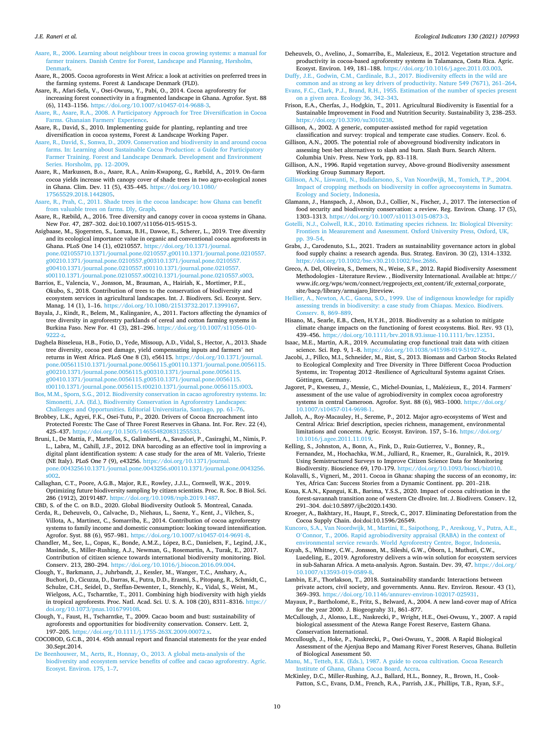<span id="page-9-0"></span>[Asare, R., 2006. Learning about neighbour trees in cocoa growing systems: a manual for](http://refhub.elsevier.com/S1470-160X(21)00658-0/h0035)  [farmer trainers. Danish Centre for Forest, Landscape and Planning, H](http://refhub.elsevier.com/S1470-160X(21)00658-0/h0035)ørsholm, [Denmark](http://refhub.elsevier.com/S1470-160X(21)00658-0/h0035).

Asare, R., 2005. Cocoa agroforests in West Africa: a look at activities on preferred trees in the farming systems. Forest & Landscape Denmark (FLD).

- Asare, R., Afari-Sefa, V., Osei-Owusu, Y., Pabi, O., 2014. Cocoa agroforestry for increasing forest connectivity in a fragmented landscape in Ghana. Agrofor. Syst. 88 (6), 1143–1156. [https://doi.org/10.1007/s10457-014-9688-3.](https://doi.org/10.1007/s10457-014-9688-3)
- [Asare, R., Asare, R.A., 2008. A Participatory Approach for Tree Diversification in Cocoa](http://refhub.elsevier.com/S1470-160X(21)00658-0/h0050)  [Farms. Ghanaian Farmers](http://refhub.elsevier.com/S1470-160X(21)00658-0/h0050)' Experience.
- Asare, R., David, S., 2010. Implementing guide for planting, replanting and tree diversification in cocoa systems, Forest & Landscape Working Paper.
- [Asare, R., David, S., Sonwa, D., 2009. Conservation and biodiversity in and around cocoa](http://refhub.elsevier.com/S1470-160X(21)00658-0/h0060)  [farms. In: Learning about Sustainable Cocoa Production: a Guide for Participatory](http://refhub.elsevier.com/S1470-160X(21)00658-0/h0060)  [Farmer Training. Forest and Landscape Denmark. Development and Environment](http://refhub.elsevier.com/S1470-160X(21)00658-0/h0060) [Series. Horsholm, pp. 12](http://refhub.elsevier.com/S1470-160X(21)00658-0/h0060)–2009.

Asare, R., Markussen, B.o., Asare, R.A., Anim-Kwapong, G., Ræbild, A., 2019. On-farm cocoa yields increase with canopy cover of shade trees in two agro-ecological zones in Ghana. Clim. Dev. 11 (5), 435–445. [https://doi.org/10.1080/](https://doi.org/10.1080/17565529.2018.1442805) [17565529.2018.1442805](https://doi.org/10.1080/17565529.2018.1442805).

[Asare, R., Prah, C., 2011. Shade trees in the cocoa landscape: how Ghana can benefit](http://refhub.elsevier.com/S1470-160X(21)00658-0/h0070) [from valuable trees on farms. Dly, Graph.](http://refhub.elsevier.com/S1470-160X(21)00658-0/h0070)

- Asare, R., Ræbild, A., 2016. Tree diversity and canopy cover in cocoa systems in Ghana. New For. 47, 287–302. doi:10.1007/s11056-015-9515-3.
- Asigbaase, M., Sjogersten, S., Lomax, B.H., Dawoe, E., Scherer, L., 2019. Tree diversity and its ecological importance value in organic and conventional cocoa agroforests in Ghana. PLoS One 14 (1), e0210557. [https://doi.org/10.1371/journal.](https://doi.org/10.1371/journal.pone.021055710.1371/journal.pone.0210557.g00110.1371/journal.pone.0210557.g00210.1371/journal.pone.0210557.g00310.1371/journal.pone.0210557.g00410.1371/journal.pone.0210557.t00110.1371/journal.pone.0210557.s00110.1371/journal.pone.0210557.s00210.1371/journal.pone.0210557.s003)  [pone.021055710.1371/journal.pone.0210557.g00110.1371/journal.pone.0210557.](https://doi.org/10.1371/journal.pone.021055710.1371/journal.pone.0210557.g00110.1371/journal.pone.0210557.g00210.1371/journal.pone.0210557.g00310.1371/journal.pone.0210557.g00410.1371/journal.pone.0210557.t00110.1371/journal.pone.0210557.s00110.1371/journal.pone.0210557.s00210.1371/journal.pone.0210557.s003) [g00210.1371/journal.pone.0210557.g00310.1371/journal.pone.0210557.](https://doi.org/10.1371/journal.pone.021055710.1371/journal.pone.0210557.g00110.1371/journal.pone.0210557.g00210.1371/journal.pone.0210557.g00310.1371/journal.pone.0210557.g00410.1371/journal.pone.0210557.t00110.1371/journal.pone.0210557.s00110.1371/journal.pone.0210557.s00210.1371/journal.pone.0210557.s003)  [g00410.1371/journal.pone.0210557.t00110.1371/journal.pone.0210557.](https://doi.org/10.1371/journal.pone.021055710.1371/journal.pone.0210557.g00110.1371/journal.pone.0210557.g00210.1371/journal.pone.0210557.g00310.1371/journal.pone.0210557.g00410.1371/journal.pone.0210557.t00110.1371/journal.pone.0210557.s00110.1371/journal.pone.0210557.s00210.1371/journal.pone.0210557.s003) [s00110.1371/journal.pone.0210557.s00210.1371/journal.pone.0210557.s003](https://doi.org/10.1371/journal.pone.021055710.1371/journal.pone.0210557.g00110.1371/journal.pone.0210557.g00210.1371/journal.pone.0210557.g00310.1371/journal.pone.0210557.g00410.1371/journal.pone.0210557.t00110.1371/journal.pone.0210557.s00110.1371/journal.pone.0210557.s00210.1371/journal.pone.0210557.s003).

Barrios, E., Valencia, V., Jonsson, M., Brauman, A., Hairiah, K., Mortimer, P.E., Okubo, S., 2018. Contribution of trees to the conservation of biodiversity and ecosystem services in agricultural landscapes. Int. J. Biodivers. Sci. Ecosyst. Serv. Manag. 14 (1), 1–16. [https://doi.org/10.1080/21513732.2017.1399167.](https://doi.org/10.1080/21513732.2017.1399167)

Bayala, J., Kindt, R., Belem, M., Kalinganire, A., 2011. Factors affecting the dynamics of tree diversity in agroforestry parklands of cereal and cotton farming systems in Burkina Faso. New For. 41 (3), 281–296. [https://doi.org/10.1007/s11056-010-](https://doi.org/10.1007/s11056-010-9222-z) [9222-z.](https://doi.org/10.1007/s11056-010-9222-z)

Daghela Bisseleua, H.B., Fotio, D., Yede, Missoup, A.D., Vidal, S., Hector, A., 2013. Shade tree diversity, cocoa pest damage, yield compensating inputs and farmers' net returns in West Africa. PLoS One 8 (3), e56115. [https://doi.org/10.1371/journal.](https://doi.org/10.1371/journal.pone.005611510.1371/journal.pone.0056115.g00110.1371/journal.pone.0056115.g00210.1371/journal.pone.0056115.g00310.1371/journal.pone.0056115.g00410.1371/journal.pone.0056115.g00510.1371/journal.pone.0056115.t00110.1371/journal.pone.0056115.t00210.1371/journal.pone.0056115.t003)  [pone.005611510.1371/journal.pone.0056115.g00110.1371/journal.pone.0056115.](https://doi.org/10.1371/journal.pone.005611510.1371/journal.pone.0056115.g00110.1371/journal.pone.0056115.g00210.1371/journal.pone.0056115.g00310.1371/journal.pone.0056115.g00410.1371/journal.pone.0056115.g00510.1371/journal.pone.0056115.t00110.1371/journal.pone.0056115.t00210.1371/journal.pone.0056115.t003) [g00210.1371/journal.pone.0056115.g00310.1371/journal.pone.0056115.](https://doi.org/10.1371/journal.pone.005611510.1371/journal.pone.0056115.g00110.1371/journal.pone.0056115.g00210.1371/journal.pone.0056115.g00310.1371/journal.pone.0056115.g00410.1371/journal.pone.0056115.g00510.1371/journal.pone.0056115.t00110.1371/journal.pone.0056115.t00210.1371/journal.pone.0056115.t003)  [g00410.1371/journal.pone.0056115.g00510.1371/journal.pone.0056115.](https://doi.org/10.1371/journal.pone.005611510.1371/journal.pone.0056115.g00110.1371/journal.pone.0056115.g00210.1371/journal.pone.0056115.g00310.1371/journal.pone.0056115.g00410.1371/journal.pone.0056115.g00510.1371/journal.pone.0056115.t00110.1371/journal.pone.0056115.t00210.1371/journal.pone.0056115.t003)  [t00110.1371/journal.pone.0056115.t00210.1371/journal.pone.0056115.t003](https://doi.org/10.1371/journal.pone.005611510.1371/journal.pone.0056115.g00110.1371/journal.pone.0056115.g00210.1371/journal.pone.0056115.g00310.1371/journal.pone.0056115.g00410.1371/journal.pone.0056115.g00510.1371/journal.pone.0056115.t00110.1371/journal.pone.0056115.t00210.1371/journal.pone.0056115.t003).

[Bos, M.M., Sporn, S.G., 2012. Biodiversity conservation in cacao agroforestry systems. In:](http://refhub.elsevier.com/S1470-160X(21)00658-0/h0100)  [Simonetti, J.A. \(Ed.\), Biodiversity Conservation in Agroforestry Landscapes:](http://refhub.elsevier.com/S1470-160X(21)00658-0/h0100) [Challenges and Opportunities. Editorial Universitaria, Santiago, pp. 61](http://refhub.elsevier.com/S1470-160X(21)00658-0/h0100)–76.

Brobbey, L.K., Agyei, F.K., Osei-Tutu, P., 2020. Drivers of Cocoa Encroachment into Protected Forests: The Case of Three Forest Reserves in Ghana. Int. For. Rev. 22 (4), 425–437. [https://doi.org/10.1505/146554820831255533.](https://doi.org/10.1505/146554820831255533)

Bruni, I., De Mattia, F., Martellos, S., Galimberti, A., Savadori, P., Casiraghi, M., Nimis, P. L., Labra, M., Cahill, J.F., 2012. DNA barcoding as an effective tool in improving a digital plant identification system: A case study for the area of Mt. Valerio, Trieste (NE Italy). PLoS One 7 (9), e43256. [https://doi.org/10.1371/journal.](https://doi.org/10.1371/journal.pone.004325610.1371/journal.pone.0043256.s00110.1371/journal.pone.0043256.s002)  [pone.004325610.1371/journal.pone.0043256.s00110.1371/journal.pone.0043256.](https://doi.org/10.1371/journal.pone.004325610.1371/journal.pone.0043256.s00110.1371/journal.pone.0043256.s002) [s002.](https://doi.org/10.1371/journal.pone.004325610.1371/journal.pone.0043256.s00110.1371/journal.pone.0043256.s002)

Callaghan, C.T., Poore, A.G.B., Major, R.E., Rowley, J.J.L., Cornwell, W.K., 2019. Optimizing future biodiversity sampling by citizen scientists. Proc. R. Soc. B Biol. Sci. 286 (1912), 20191487. <https://doi.org/10.1098/rspb.2019.1487>.

CBD, S. of the C. on B.D., 2020. Global Biodiversity Outlook 5. Montreal, Canada. Cerda, R., Deheuvels, O., Calvache, D., Niehaus, L., Saenz, Y., Kent, J., Vilchez, S., Villota, A., Martinez, C., Somarriba, E., 2014. Contribution of cocoa agroforestry systems to family income and domestic consumption: looking toward intensification. Agrofor. Syst. 88 (6), 957–981. [https://doi.org/10.1007/s10457-014-9691-8.](https://doi.org/10.1007/s10457-014-9691-8)

Chandler, M., See, L., Copas, K., Bonde, A.M.Z., López, B.C., Danielsen, F., Legind, J.K., Masinde, S., Miller-Rushing, A.J., Newman, G., Rosemartin, A., Turak, E., 2017. Contribution of citizen science towards international biodiversity monitoring. Biol. Conserv. 213, 280–294.<https://doi.org/10.1016/j.biocon.2016.09.004>.

Clough, Y., Barkmann, J., Juhrbandt, J., Kessler, M., Wanger, T.C., Anshary, A., Buchori, D., Cicuzza, D., Darras, K., Putra, D.D., Erasmi, S., Pitopang, R., Schmidt, C., Schulze, C.H., Seidel, D., Steffan-Dewenter, I., Stenchly, K., Vidal, S., Weist, M., Wielgoss, A.C., Tscharntke, T., 2011. Combining high biodiversity with high yields in tropical agroforests. Proc. Natl. Acad. Sci. U. S. A. 108 (20), 8311–8316. [https://](https://doi.org/10.1073/pnas.1016799108)   $g/10.1073/pnas.1016799108$ 

Clough, Y., Faust, H., Tscharntke, T., 2009. Cacao boom and bust: sustainability of agroforests and opportunities for biodiversity conservation. Conserv. Lett. 2, 197–205. [https://doi.org/10.1111/j.1755-263X.2009.00072.x.](https://doi.org/10.1111/j.1755-263X.2009.00072.x)

COCOBOD, G.C.B., 2014. 45th annual report and financial statements for the year ended 30.Sept.2014.

[De Beenhouwer, M., Aerts, R., Honnay, O., 2013. A global meta-analysis of the](http://refhub.elsevier.com/S1470-160X(21)00658-0/h0150)  [biodiversity and ecosystem service benefits of coffee and cacao agroforestry. Agric.](http://refhub.elsevier.com/S1470-160X(21)00658-0/h0150)  [Ecosyst. Environ. 175, 1](http://refhub.elsevier.com/S1470-160X(21)00658-0/h0150)–7.

Deheuvels, O., Avelino, J., Somarriba, E., Malezieux, E., 2012. Vegetation structure and productivity in cocoa-based agroforestry systems in Talamanca, Costa Rica. Agric. Ecosyst. Environ. 149, 181–188. [https://doi.org/10.1016/j.agee.2011.03.003.](https://doi.org/10.1016/j.agee.2011.03.003)

[Duffy, J.E., Godwin, C.M., Cardinale, B.J., 2017. Biodiversity effects in the wild are](http://refhub.elsevier.com/S1470-160X(21)00658-0/optN4Xi1NU71s) [common and as strong as key drivers of productivity. Nature 549 \(7671\), 261](http://refhub.elsevier.com/S1470-160X(21)00658-0/optN4Xi1NU71s)–264. [Evans, F.C., Clark, P.J., Brand, R.H., 1955. Estimation of the number of species present](http://refhub.elsevier.com/S1470-160X(21)00658-0/opta3NcknuA8I) 

- [on a given area. Ecology 36, 342](http://refhub.elsevier.com/S1470-160X(21)00658-0/opta3NcknuA8I)–343. Frison, E.A., Cherfas, J., Hodgkin, T., 2011. Agricultural Biodiversity is Essential for a
- Sustainable Improvement in Food and Nutrition Security. Sustainability 3, 238–253. [https://doi.org/10.3390/su3010238.](https://doi.org/10.3390/su3010238)

Gillison, A., 2002. A generic, computer-assisted method for rapid vegetation classification and survey: tropical and temperate case studies. Conserv. Ecol. 6.

Gillison, A.N., 2005. The potential role of aboveground biodiversity indicators in assessing best-bet alternatives to slash and burn. Slash Burn. Search Altern. Columbia Univ. Press. New York, pp. 83–118.

Gillison, A.N., 1996. Rapid vegetation survey, Above-ground Biodiversity assessment Working Group Summary Report.

[Gillison, A.N., Liswanti, N., Budidarsono, S., Van Noordwijk, M., Tomich, T.P., 2004.](http://refhub.elsevier.com/S1470-160X(21)00658-0/h0180)  [Impact of cropping methods on biodiversity in coffee agroecosystems in Sumatra.](http://refhub.elsevier.com/S1470-160X(21)00658-0/h0180) [Ecology and Society, Indonesia](http://refhub.elsevier.com/S1470-160X(21)00658-0/h0180).

Glamann, J., Hanspach, J., Abson, D.J., Collier, N., Fischer, J., 2017. The intersection of food security and biodiversity conservation: a review. Reg. Environ. Chang. 17 (5), 1303–1313.<https://doi.org/10.1007/s10113-015-0873-3>.

[Gotelli, N.J., Colwell, R.K., 2010. Estimating species richness. In: Biological Diversity:](http://refhub.elsevier.com/S1470-160X(21)00658-0/h0190)  [Frontiers in Measurement and Assessment. Oxford University Press, Oxford, UK,](http://refhub.elsevier.com/S1470-160X(21)00658-0/h0190) [pp. 39](http://refhub.elsevier.com/S1470-160X(21)00658-0/h0190)–54.

Grabs, J., Carodenuto, S.L., 2021. Traders as sustainability governance actors in global food supply chains: a research agenda. Bus. Strateg. Environ. 30 (2), 1314–1332. <https://doi.org/10.1002/bse.v30.210.1002/bse.2686>.

Greco, A. Del, Oliveira, S., Demers, N., Weise, S.F., 2012. Rapid Biodiversity Assessment Methodologies - Literature Review. , Biodiversity International. Available at: https:// www.ifc.org/wps/wcm/connect/regprojects\_ext\_content/ifc\_external\_corporate\_ site/bacp/library/armajaro\_litreview.

[Hellier, A., Newton, A.C., Gaona, S.O., 1999. Use of indigenous knowledge for rapidly](http://refhub.elsevier.com/S1470-160X(21)00658-0/h0205)  [assessing trends in biodiversity: a case study from Chiapas. Mexico. Biodivers.](http://refhub.elsevier.com/S1470-160X(21)00658-0/h0205)  [Conserv. 8, 869](http://refhub.elsevier.com/S1470-160X(21)00658-0/h0205)–889.

Hisano, M., Searle, E.B., Chen, H.Y.H., 2018. Biodiversity as a solution to mitigate climate change impacts on the functioning of forest ecosystems. Biol. Rev. 93 (1), 439–456. <https://doi.org/10.1111/brv.2018.93.issue-110.1111/brv.12351>.

Isaac, M.E., Martin, A.R., 2019. Accumulating crop functional trait data with citizen science. Sci. Rep. 9, 1-8. [https://doi.org/10.1038/s41598-019-51927-x.](https://doi.org/10.1038/s41598-019-51927-x)

Jacobi, J., Pillco, M.I., Schneider, M., Rist, S., 2013. Biomass and Carbon Stocks Related to Ecological Complexity and Tree Diversity in Three Different Cocoa Production Systems, in: Tropentag 2012 -Resilience of Agricultural Systems against Crises. Göttingen, Germany.

Jagoret, P., Kwesseu, J., Messie, C., Michel-Dounias, I., Malézieux, E., 2014. Farmers' assessment of the use value of agrobiodiversity in complex cocoa agroforestry systems in central Cameroon. Agrofor. Syst. 88 (6), 983–1000. [https://doi.org/](https://doi.org/10.1007/s10457-014-9698-1) [10.1007/s10457-014-9698-1](https://doi.org/10.1007/s10457-014-9698-1).

Jalloh, A., Roy-Macauley, H., Sereme, P., 2012. Major agro-ecosystems of West and Central Africa: Brief description, species richness, management, environmental limitations and concerns. Agric. Ecosyst. Environ. 157, 5–16. [https://doi.org/](https://doi.org/10.1016/j.agee.2011.11.019)  [10.1016/j.agee.2011.11.019](https://doi.org/10.1016/j.agee.2011.11.019).

Kelling, S., Johnston, A., Bonn, A., Fink, D., Ruiz-Gutierrez, V., Bonney, R., Fernandez, M., Hochachka, W.M., Julliard, R., Kraemer, R., Guralnick, R., 2019. Using Semistructured Surveys to Improve Citizen Science Data for Monitoring Biodiversity. Bioscience 69, 170–179. <https://doi.org/10.1093/biosci/biz010>.

Kolavalli, S., Vigneri, M., 2011. Cocoa in Ghana: shaping the success of an economy, in: Yes, Africa Can: Success Stories from a Dynamic Continent. pp. 201–218.

Koua, K.A.N., Kpangui, K.B., Barima, Y.S.S., 2020. Impact of cocoa cultivation in the forest-savannah transition zone of western Cte dIvoire. Int. J. Biodivers. Conserv. 12, 291–304. doi:10.5897/ijbc2020.1430.

Kroeger, A., Bakhtary, H., Haupt, F., Streck, C., 2017. Eliminating Deforestation from the Cocoa Supply Chain. doi:doi:10.1596/26549.

[Kuncoro, S.A., Van Noordwijk, M., Martini, E., Saipothong, P., Areskoug, V., Putra, A.E.,](http://refhub.elsevier.com/S1470-160X(21)00658-0/h0255)  O'[Connor, T., 2006. Rapid agrobiodiversity appraisal \(RABA\) in the context of](http://refhub.elsevier.com/S1470-160X(21)00658-0/h0255)  [environmental service rewards. World Agroforestry Centre, Bogor, Indonesia.](http://refhub.elsevier.com/S1470-160X(21)00658-0/h0255)

Kuyah, S., Whitney, C.W., Jonsson, M., Sileshi, G.W., Oborn, I., Muthuri, C.W., ¨ Luedeling, E., 2019. Agroforestry delivers a win-win solution for ecosystem services in sub-Saharan Africa. A meta-analysis. Agron. Sustain. Dev. 39, 47. [https://doi.org/](https://doi.org/10.1007/s13593-019-0589-8)  [10.1007/s13593-019-0589-8](https://doi.org/10.1007/s13593-019-0589-8).

Lambin, E.F., Thorlakson, T., 2018. Sustainability standards: Interactions between private actors, civil society, and governments. Annu. Rev. Environ. Resour. 43 (1), 369–393. [https://doi.org/10.1146/annurev-environ-102017-025931.](https://doi.org/10.1146/annurev-environ-102017-025931)

Mayaux, P., Bartholomé, E., Fritz, S., Belward, A., 2004. A new land-cover map of Africa for the year 2000. J. Biogeograhy 31, 861–877.

McCullough, J., Alonso, L.E., Naskrecki, P., Wright, H.E., Osei-Owusu, Y., 2007. A rapid biological assessment of the Atewa Range Forest Reserve, Eastern Ghana. Conservation International.

Mccullough, J., Hoke, P., Naskrecki, P., Osei-Owusu, Y., 2008. A Rapid Biological Assessment of the Ajenjua Bepo and Mamang River Forest Reserves, Ghana. Bulletin of Biological Assessment 50.

[Manu, M., Tetteh, E.K. \(Eds.\), 1987. A guide to cocoa cultivation. Cocoa Research](http://refhub.elsevier.com/S1470-160X(21)00658-0/hbib521)  [Institute of Ghana, Ghana Cocoa Board, Accra](http://refhub.elsevier.com/S1470-160X(21)00658-0/hbib521).

McKinley, D.C., Miller-Rushing, A.J., Ballard, H.L., Bonney, R., Brown, H., Cook-Patton, S.C., Evans, D.M., French, R.A., Parrish, J.K., Phillips, T.B., Ryan, S.F.,